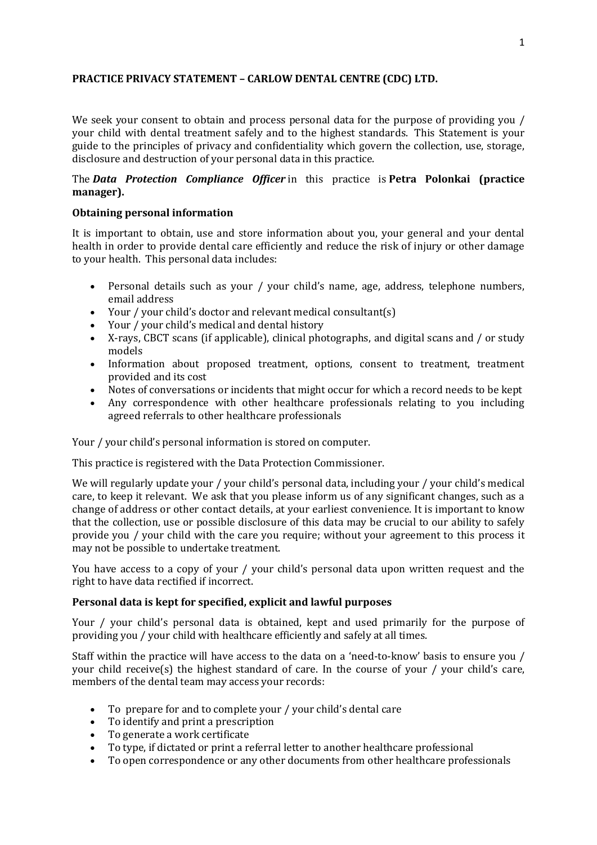# **PRACTICE PRIVACY STATEMENT – CARLOW DENTAL CENTRE (CDC) LTD.**

We seek your consent to obtain and process personal data for the purpose of providing you / your child with dental treatment safely and to the highest standards. This Statement is your guide to the principles of privacy and confidentiality which govern the collection, use, storage, disclosure and destruction of your personal data in this practice.

# The *Data Protection Compliance Officer* in this practice is **Petra Polonkai (practice manager).**

#### **Obtaining personal information**

It is important to obtain, use and store information about you, your general and your dental health in order to provide dental care efficiently and reduce the risk of injury or other damage to your health. This personal data includes:

- Personal details such as your / your child's name, age, address, telephone numbers, email address
- Your / your child's doctor and relevant medical consultant(s)
- Your / your child's medical and dental history
- X-rays, CBCT scans (if applicable), clinical photographs, and digital scans and / or study models
- Information about proposed treatment, options, consent to treatment, treatment provided and its cost
- Notes of conversations or incidents that might occur for which a record needs to be kept
- Any correspondence with other healthcare professionals relating to you including agreed referrals to other healthcare professionals

Your / your child's personal information is stored on computer.

This practice is registered with the Data Protection Commissioner.

We will regularly update your / your child's personal data, including your / your child's medical care, to keep it relevant. We ask that you please inform us of any significant changes, such as a change of address or other contact details, at your earliest convenience. It is important to know that the collection, use or possible disclosure of this data may be crucial to our ability to safely provide you / your child with the care you require; without your agreement to this process it may not be possible to undertake treatment.

You have access to a copy of your / your child's personal data upon written request and the right to have data rectified if incorrect.

### **Personal data is kept for specified, explicit and lawful purposes**

Your / your child's personal data is obtained, kept and used primarily for the purpose of providing you / your child with healthcare efficiently and safely at all times.

Staff within the practice will have access to the data on a 'need-to-know' basis to ensure you / your child receive(s) the highest standard of care. In the course of your  $/$  your child's care, members of the dental team may access your records:

- To prepare for and to complete your / your child's dental care
- To identify and print a prescription
- To generate a work certificate
- To type, if dictated or print a referral letter to another healthcare professional
- To open correspondence or any other documents from other healthcare professionals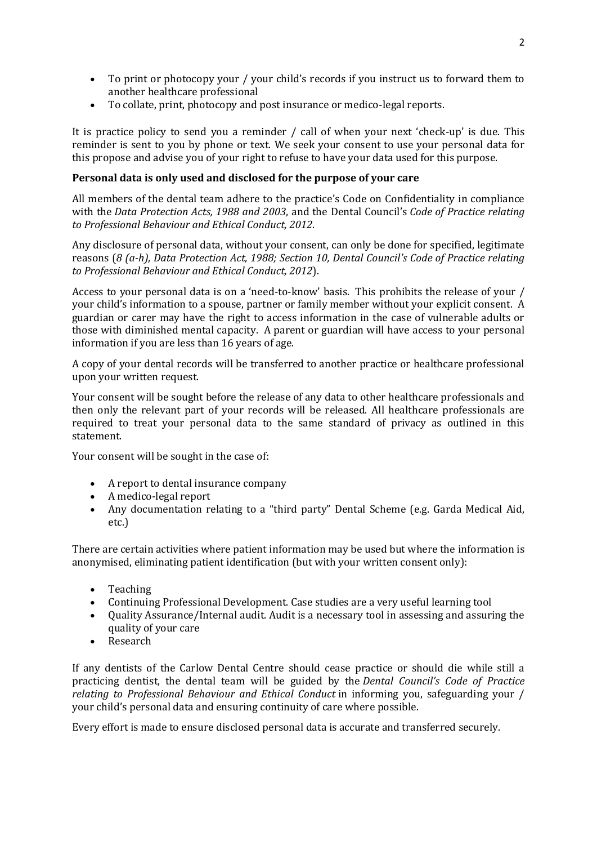- To print or photocopy your / your child's records if you instruct us to forward them to another healthcare professional
- To collate, print, photocopy and post insurance or medico-legal reports.

It is practice policy to send you a reminder / call of when your next 'check-up' is due. This reminder is sent to you by phone or text. We seek your consent to use your personal data for this propose and advise you of your right to refuse to have your data used for this purpose.

# **Personal data is only used and disclosed for the purpose of your care**

All members of the dental team adhere to the practice's Code on Confidentiality in compliance with the *Data Protection Acts, 1988 and 2003*, and the Dental Council's *Code of Practice relating to Professional Behaviour and Ethical Conduct, 2012*.

Any disclosure of personal data, without your consent, can only be done for specified, legitimate reasons (*8 (a-h), Data Protection Act, 1988; Section 10, Dental Council's Code of Practice relating to Professional Behaviour and Ethical Conduct, 2012*).

Access to your personal data is on a 'need-to-know' basis. This prohibits the release of your / your child's information to a spouse, partner or family member without your explicit consent. A guardian or carer may have the right to access information in the case of vulnerable adults or those with diminished mental capacity. A parent or guardian will have access to your personal information if you are less than 16 years of age.

A copy of your dental records will be transferred to another practice or healthcare professional upon your written request.

Your consent will be sought before the release of any data to other healthcare professionals and then only the relevant part of your records will be released. All healthcare professionals are required to treat your personal data to the same standard of privacy as outlined in this statement.

Your consent will be sought in the case of:

- A report to dental insurance company
- A medico-legal report
- Any documentation relating to a "third party" Dental Scheme (e.g. Garda Medical Aid, etc.)

There are certain activities where patient information may be used but where the information is anonymised, eliminating patient identification (but with your written consent only):

- Teaching
- Continuing Professional Development. Case studies are a very useful learning tool
- Quality Assurance/Internal audit. Audit is a necessary tool in assessing and assuring the quality of your care
- Research

If any dentists of the Carlow Dental Centre should cease practice or should die while still a practicing dentist, the dental team will be guided by the *Dental Council's Code of Practice relating to Professional Behaviour and Ethical Conduct* in informing you, safeguarding your / your child's personal data and ensuring continuity of care where possible.

Every effort is made to ensure disclosed personal data is accurate and transferred securely.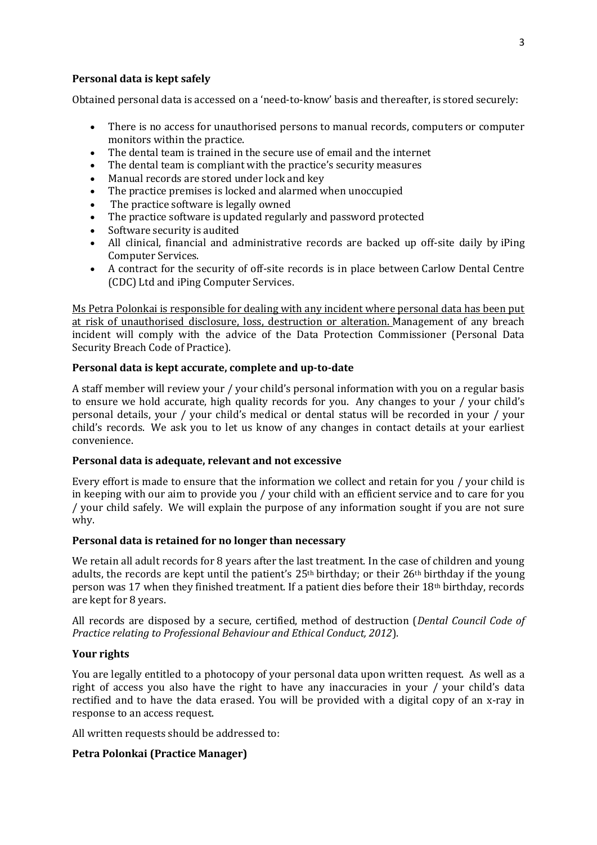## **Personal data is kept safely**

Obtained personal data is accessed on a 'need-to-know' basis and thereafter, is stored securely:

- There is no access for unauthorised persons to manual records, computers or computer monitors within the practice.
- The dental team is trained in the secure use of email and the internet
- The dental team is compliant with the practice's security measures
- Manual records are stored under lock and key
- The practice premises is locked and alarmed when unoccupied
- The practice software is legally owned
- The practice software is updated regularly and password protected
- Software security is audited
- All clinical, financial and administrative records are backed up off-site daily by iPing Computer Services.
- A contract for the security of off-site records is in place between Carlow Dental Centre (CDC) Ltd and iPing Computer Services.

Ms Petra Polonkai is responsible for dealing with any incident where personal data has been put at risk of unauthorised disclosure, loss, destruction or alteration. Management of any breach incident will comply with the advice of the Data Protection Commissioner (Personal Data Security Breach Code of Practice).

## **Personal data is kept accurate, complete and up-to-date**

A staff member will review your / your child's personal information with you on a regular basis to ensure we hold accurate, high quality records for you. Any changes to your / your child's personal details, your / your child's medical or dental status will be recorded in your / your childǯs records. We ask you to let us know of any changes in contact details at your earliest convenience.

#### **Personal data is adequate, relevant and not excessive**

Every effort is made to ensure that the information we collect and retain for you / your child is in keeping with our aim to provide you / your child with an efficient service and to care for you / your child safely. We will explain the purpose of any information sought if you are not sure why.

#### **Personal data is retained for no longer than necessary**

We retain all adult records for 8 years after the last treatment. In the case of children and young adults, the records are kept until the patient's  $25<sup>th</sup>$  birthday; or their  $26<sup>th</sup>$  birthday if the young person was 17 when they finished treatment. If a patient dies before their 18th birthday, records are kept for 8 years.

All records are disposed by a secure, certified, method of destruction (*Dental Council Code of Practice relating to Professional Behaviour and Ethical Conduct, 2012*).

### **Your rights**

You are legally entitled to a photocopy of your personal data upon written request. As well as a right of access you also have the right to have any inaccuracies in your / your child's data rectified and to have the data erased. You will be provided with a digital copy of an x-ray in response to an access request.

All written requests should be addressed to:

# **Petra Polonkai (Practice Manager)**